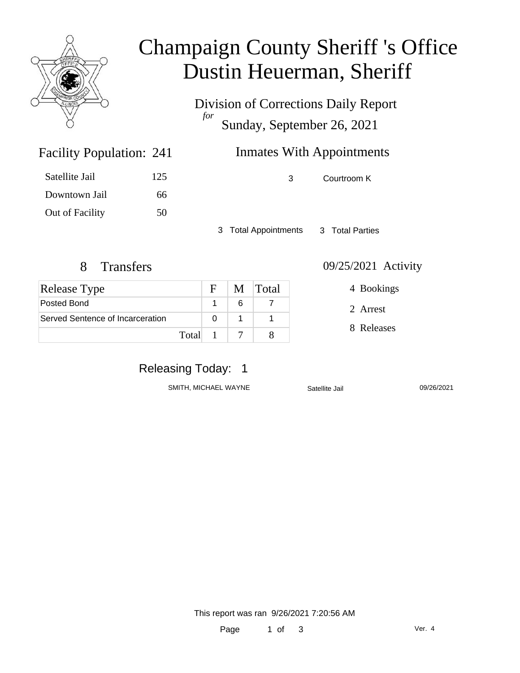

### Champaign County Sheriff 's Office Dustin Heuerman, Sheriff

Division of Corrections Daily Report *for* Sunday, September 26, 2021

### **Inmates With Appointments**

3 Courtroom K

3 Total Appointments 3 Total Parties

Facility Population: 241

Satellite Jail 125

Downtown Jail 66

Out of Facility 50

| <b>Release Type</b>              |         | $F_{\perp}$ |   | M Total |
|----------------------------------|---------|-------------|---|---------|
| Posted Bond                      |         |             | 6 |         |
| Served Sentence of Incarceration |         |             |   |         |
|                                  | Total 1 |             |   |         |

8 Transfers 09/25/2021 Activity

4 Bookings

2 Arrest

8 Releases

### Releasing Today: 1

SMITH, MICHAEL WAYNE Satellite Jail 09/26/2021

This report was ran 9/26/2021 7:20:56 AM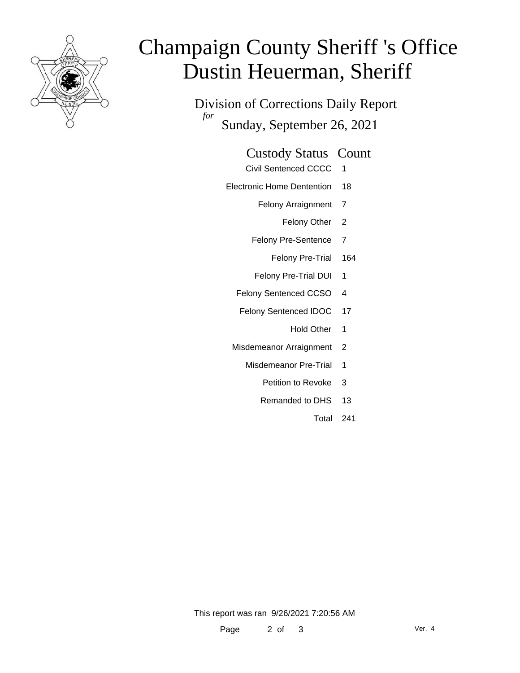

# Champaign County Sheriff 's Office Dustin Heuerman, Sheriff

Division of Corrections Daily Report *for* Sunday, September 26, 2021

#### Custody Status Count

- Civil Sentenced CCCC 1
- Electronic Home Dentention 18
	- Felony Arraignment 7
		- Felony Other 2
	- Felony Pre-Sentence 7
		- Felony Pre-Trial 164
	- Felony Pre-Trial DUI 1
	- Felony Sentenced CCSO 4
	- Felony Sentenced IDOC 17
		- Hold Other 1
	- Misdemeanor Arraignment 2
		- Misdemeanor Pre-Trial 1
			- Petition to Revoke 3
			- Remanded to DHS 13
				- Total 241

This report was ran 9/26/2021 7:20:56 AM